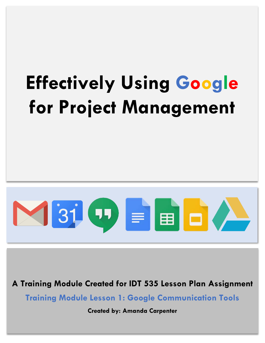# **Effectively Using Google for Project Management**



**A Training Module Created for IDT 535 Lesson Plan Assignment**

**Training Module Lesson 1: Google Communication Tools**

**Created by: Amanda Carpenter**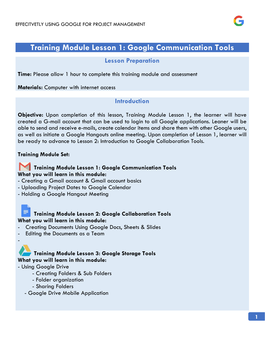

## **Training Module Lesson 1: Google Communication Tools**

#### **Lesson Preparation**

**Time:** Please allow 1 hour to complete this training module and assessment

**Materials:** Computer with internet access

## **Introduction**

**Objective:** Upon completion of this lesson, Training Module Lesson 1, the learner will have created a G-mail account that can be used to login to all Google applications. Leaner will be able to send and receive e-mails, create calendar items and share them with other Google users, as well as initiate a Google Hangouts online meeting. Upon completion of Lesson 1, learner will be ready to advance to Lesson 2: Introduction to Google Collaboration Tools.

#### **Training Module Set:**

### **Training Module Lesson 1: Google Communication Tools What you will learn in this module:**

- Creating a Gmail account & Gmail account basics
- Uploading Project Dates to Google Calendar
- Holding a Google Hangout Meeting

### **Training Module Lesson 2: Google Collaboration Tools What you will learn in this module:**

- Creating Documents Using Google Docs, Sheets & Slides
- Editing the Documents as a Team



- Using Google Drive

-

- Creating Folders & Sub Folders
- Folder organization
- Sharing Folders
- Google Drive Mobile Application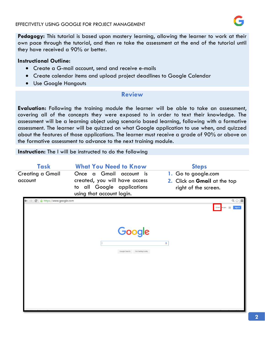

**Pedagogy:** This tutorial is based upon mastery learning, allowing the learner to work at their own pace through the tutorial, and then re take the assessment at the end of the tutorial until they have received a 90% or better.

#### **Instructional Outline:**

- Create a G-mail account, send and receive e-mails
- Create calendar items and upload project deadlines to Google Calendar
- Use Google Hangouts

#### **Review**

**Evaluation:** Following the training module the learner will be able to take an assessment, covering all of the concepts they were exposed to in order to text their knowledge. The assessment will be a learning object using scenario based learning, following with a formative assessment. The learner will be quizzed on what Google application to use when, and quizzed about the features of those applications. The learner must receive a grade of 90% or above on the formative assessment to advance to the next training module.

**Instruction:** The l will be instructed to do the following

| <b>Task</b>                        | <b>What You Need to Know</b>                                                                                        | <b>Steps</b>                                                                |
|------------------------------------|---------------------------------------------------------------------------------------------------------------------|-----------------------------------------------------------------------------|
| <b>Creating a Gmail</b><br>account | Once a Gmail account is<br>created, you will have access<br>to all Google applications<br>using that account login. | 1. Go to google.com<br>2. Click on Gmail at the top<br>right of the screen. |
| https://www.google.com<br>С        |                                                                                                                     | $Q \sqrt{2} \equiv$<br>靈<br>Gmail mages<br>Sign in                          |
|                                    | Google                                                                                                              | J,                                                                          |
|                                    | Google Search Em Feeling Lucky                                                                                      |                                                                             |
|                                    |                                                                                                                     |                                                                             |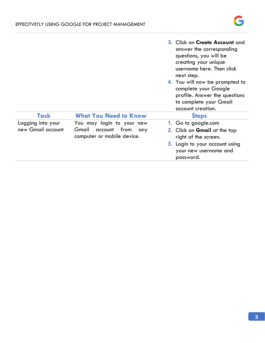

|                   |                                                            | 3. Click on Create Account and<br>answer the corresponding<br>questions, you will be<br>creating your unique<br>username here. Then click<br>next step.<br>4. You will now be prompted to<br>complete your Google<br>profile. Answer the questions<br>to complete your Gmail<br>account creation. |
|-------------------|------------------------------------------------------------|---------------------------------------------------------------------------------------------------------------------------------------------------------------------------------------------------------------------------------------------------------------------------------------------------|
| Task              | <b>What You Need to Know</b>                               | <b>Steps</b>                                                                                                                                                                                                                                                                                      |
| Logging into your | You may login to your new                                  | 1. Go to google.com                                                                                                                                                                                                                                                                               |
| new Gmail account | Gmail<br>account from<br>any<br>computer or mobile device. | 2. Click on Gmail at the top<br>right of the screen.                                                                                                                                                                                                                                              |
|                   |                                                            | <b>3.</b> Login to your account using<br>your new username and<br>password.                                                                                                                                                                                                                       |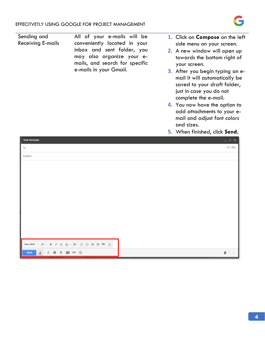$A$  0  $A$  \$ 60 00

 $\odot$ 



Sending and All of your e-mails will be **1.** Click on **Compose** on the left Receiving E-mails conveniently located in your side menu on your screen. inbox and sent folder, you **2.** A new window will open up may also organize your etowards the bottom right of mails, and search for specific your screen. e-mails in your Gmail. **3.** After you begin typing an email it will automatically be saved to your draft folder, just in case you do not complete the e-mail. **4.** You now have the option to add attachments to your email and adjust font colors and sizes. **5.** When finished, click **Send.**New Message Cc Bcc To Subject Sans Serif -  $|\vec{\tau}|$  -  $|B \times I \cup \Delta$  -  $|\equiv$  -  $|\equiv$  -  $|\equiv$  -  $|\equiv$  +  $|J_X$ 

Ë.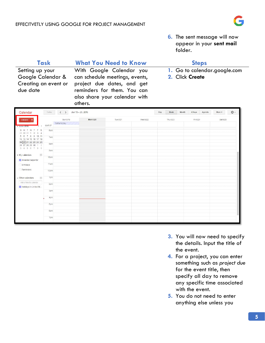

**6.** The sent message will now appear in your **sent mail**  folder.

|                                                                                                                                                                                                                                                                                                                                                      | <b>What You Need to Know</b><br><b>Task</b>                                                                                                                                                                                      |                          |                   |                                                 |          | <b>Steps</b> |       |                  |              |  |
|------------------------------------------------------------------------------------------------------------------------------------------------------------------------------------------------------------------------------------------------------------------------------------------------------------------------------------------------------|----------------------------------------------------------------------------------------------------------------------------------------------------------------------------------------------------------------------------------|--------------------------|-------------------|-------------------------------------------------|----------|--------------|-------|------------------|--------------|--|
| due date                                                                                                                                                                                                                                                                                                                                             | With Google Calendar you<br>Setting up your<br>Google Calendar & can schedule meetings, events,<br>Creating an event or<br>project due dates, and get<br>reminders for them. You can<br>also share your calendar with<br>others. |                          |                   | 1. Go to calendar.google.com<br>2. Click Create |          |              |       |                  |              |  |
| Calendar                                                                                                                                                                                                                                                                                                                                             | Today.                                                                                                                                                                                                                           | $\langle$ >              | Jun 19 - 25, 2016 |                                                 |          | Day<br>Week  | Month | 4 Days<br>Agenda | ů٠<br>More + |  |
| CREATE                                                                                                                                                                                                                                                                                                                                               |                                                                                                                                                                                                                                  | Sun 6/19<br>Father's Day | <b>Mon 6/20</b>   | Tue 6/21                                        | Wed 6/22 | Thu 6/23     |       | Fri 6/24         | Sat 6/25     |  |
| $\sqrt{3}$ June 2016<br>F<br>S<br>T W<br>T<br>S M<br>$\overline{2}$<br>31.1<br>$\overline{\mathbf{3}}$<br>$-4$<br>9 10 11<br>7 8<br>12 13 14 15 16 17 18<br>19 20 21 22 23 24 25<br>26 27 28 29 30 1 2<br>3 4 5 6 7 8 9<br>$\mathbf{v}$<br>• My calendars<br>Amanda Carpenter<br>Birthdays<br>Reminders<br>$\overline{\mathbf v}$<br>Cther calendars | <b>GMT-07</b><br>6am<br>7am<br>8am<br>9am<br>10am<br>11am<br>12pm<br>1pm                                                                                                                                                         |                          |                   |                                                 |          |              |       |                  |              |  |
| Add a friend's calendar<br>Holidays in United St                                                                                                                                                                                                                                                                                                     | 2pm<br>3pm<br>4pm                                                                                                                                                                                                                |                          |                   |                                                 |          |              |       |                  |              |  |
|                                                                                                                                                                                                                                                                                                                                                      | 5pm<br>6pm<br>7pm                                                                                                                                                                                                                |                          |                   |                                                 |          |              |       |                  |              |  |

- **3.** You will now need to specify the details. Input the title of the event.
- **4.** For a project, you can enter something such as *project due* for the event title, then specify all day to remove any specific time associated with the event.
- **5.** You do not need to enter anything else unless you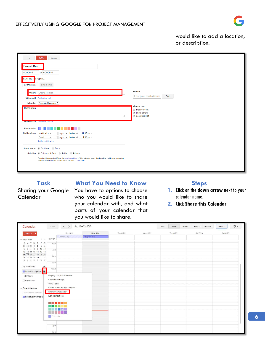

would like to add a location, or description.

| $\overline{\phantom{0}}$                                                     | <b>Discard</b><br><b>SAVE</b>                                                                                                                                                                                                                                             |                                                                                             |
|------------------------------------------------------------------------------|---------------------------------------------------------------------------------------------------------------------------------------------------------------------------------------------------------------------------------------------------------------------------|---------------------------------------------------------------------------------------------|
| <b>Project Due</b><br>6/20/2016<br><mark>l</mark> ⊌ All day<br>Event details | to 6/20/2016<br>Repeat<br>Find a time                                                                                                                                                                                                                                     |                                                                                             |
|                                                                              | <b>Where</b> Enter a location<br>Video call Add video call<br>Calendar Amanda Carpenter                                                                                                                                                                                   | <b>Guests</b><br>Enter guest email addresse<br>Add                                          |
| <b>Description</b>                                                           | <b>Attachment</b> Add attachment                                                                                                                                                                                                                                          | Guests can<br>modify event<br>$\blacksquare$ invite others<br>$\blacksquare$ see guest list |
| <b>Event color</b><br><b>Notifications</b>                                   | $\sim$<br>11:30pm ×<br>Notification ▼<br>1 days $\bullet$ before at<br>Email<br>4:30pm ×<br>$\mathbf{v}$<br>1 days $\bullet$ before at<br>Add a notification                                                                                                              |                                                                                             |
|                                                                              | Show me as @ Available @ Busy<br>Visibility © Calendar default © Public © Private<br>By default this event will follow the sharing settings of this calendar: event details will be visible to anyone who<br>can see details of other events in this calendar. Learn more |                                                                                             |

#### **Task What You Need to Know Steps** Sharing your Google You have to options to choose

you would like to share.

who you would like to share your calendar with, and what parts of your calendar that

Calendar

- **1.** Click on the **down arrow** next to your calendar name.
- **2.** Click **Share this Calendar**

| Calendar                                           | Today              | $\langle$ >                   | Jun 19 - 25, 2016 |          |          | Day<br>Week | Month<br>4 Days<br>Agenda | ٠ ټ<br>More * |
|----------------------------------------------------|--------------------|-------------------------------|-------------------|----------|----------|-------------|---------------------------|---------------|
| CREATE V                                           |                    | Sun 6/19                      | <b>Mon 6/20</b>   | Tue 6/21 | Wed 6/22 | Thu 6/23    | Fri 6/24                  | Sat 6/25      |
|                                                    | GMT-07             | Father's Day                  | Project Due       |          |          |             |                           |               |
| $\langle \rangle$<br>$\star$ June 2016             |                    |                               |                   |          |          |             |                           |               |
| S M T W T F S<br>29 30 31 1 2 3 4                  | 6am                |                               |                   |          |          |             |                           |               |
| 5 6 7 8 9 10 11                                    |                    |                               |                   |          |          |             |                           |               |
| 12 13 14 15 16 17 18                               | 7am                |                               |                   |          |          |             |                           |               |
| 19 20 21 22 23 24 25                               | 8am                |                               |                   |          |          |             |                           |               |
| 26 27 28 29 30 1 2                                 |                    |                               |                   |          |          |             |                           |               |
| 3 4 5 6 7 8 9                                      | 9am                |                               |                   |          |          |             |                           |               |
| $\blacktriangleright$ My calendars<br>$\mathbf{v}$ |                    |                               |                   |          |          |             |                           |               |
|                                                    | 10am               |                               |                   |          |          |             |                           |               |
| Amanda Carpenter                                   |                    |                               |                   |          |          |             |                           |               |
| Birthdays                                          |                    | Display only this Calendar    |                   |          |          |             |                           |               |
| Reminders                                          | Calendar settings  |                               |                   |          |          |             |                           |               |
|                                                    | View Trash         |                               |                   |          |          |             |                           |               |
| $\sim$ Other calendars                             |                    | Create event on this calendar |                   |          |          |             |                           |               |
|                                                    |                    | Share this Calendar           |                   |          |          |             |                           |               |
| Add a friend's calendar                            |                    |                               |                   |          |          |             |                           |               |
| Holidays in United St                              | Edit notifications |                               |                   |          |          |             |                           |               |
|                                                    |                    |                               |                   |          |          |             |                           |               |
|                                                    |                    |                               |                   |          |          |             |                           |               |
|                                                    |                    |                               |                   |          |          |             |                           |               |
|                                                    |                    | e e per                       |                   |          |          |             |                           |               |
|                                                    | Edit color         |                               |                   |          |          |             |                           |               |
|                                                    |                    |                               |                   |          |          |             |                           |               |
|                                                    |                    |                               |                   |          |          |             |                           |               |
|                                                    | 7pm                |                               |                   |          |          |             |                           |               |
|                                                    |                    |                               |                   |          |          |             |                           |               |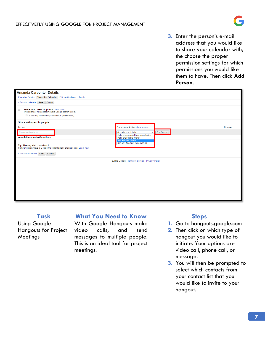#### EFFECITVETLY USING GOOGLE FOR PROJECT MANAGEMENT



**3.** Enter the person's e-mail address that you would like to share your calendar with, the choose the proper permission settings for which permissions you would like them to have. Then click **Add Person**.

| <b>Amanda Carpenter Details</b>                                                                              |                                                            |        |
|--------------------------------------------------------------------------------------------------------------|------------------------------------------------------------|--------|
| <b>Calendar Details Share this Calendar Edit notifications Trash</b>                                         |                                                            |        |
| « Back to calendar Save Cancel                                                                               |                                                            |        |
| Make this calendar public Learn more<br>$\Box$<br>This calendar will appear in public Google search results. |                                                            |        |
| Share only my free/busy information (Hide details)                                                           |                                                            |        |
| Share with specific people                                                                                   |                                                            |        |
| Person                                                                                                       | Permission Settings Learn more                             | Remove |
| Enter email address                                                                                          | Add Person<br>See all event details<br>$\mathbf{v}$        |        |
| amandathecarpenter@gmail.com                                                                                 | Make changes AND manage sharing<br>Make changes to events  |        |
|                                                                                                              | See all event details<br>See only free/busy (hide details) |        |
| Tip: Sharing with coworkers?<br>Companies can move to Google Calendar to make sharing easier. Learn how      |                                                            |        |
| « Back to calendar Save Cancel                                                                               |                                                            |        |
|                                                                                                              | @2016 Google - Terms of Service - Privacy Policy           |        |
|                                                                                                              |                                                            |        |
|                                                                                                              |                                                            |        |
|                                                                                                              |                                                            |        |
|                                                                                                              |                                                            |        |
|                                                                                                              |                                                            |        |
|                                                                                                              |                                                            |        |
|                                                                                                              |                                                            |        |
|                                                                                                              |                                                            |        |

Using Google Hangouts for Project **Meetings** 

**Task What You Need to Know Steps**

With Google Hangouts make video calls, and send messages to multiple people. This is an ideal tool for project meetings.

- **1.** Go to hangouts.google.com
- **2.** Then click on which type of hangout you would like to initiate. Your options are video call, phone call, or message.
- **3.** You will then be prompted to select which contacts from your contact list that you would like to invite to your hangout.